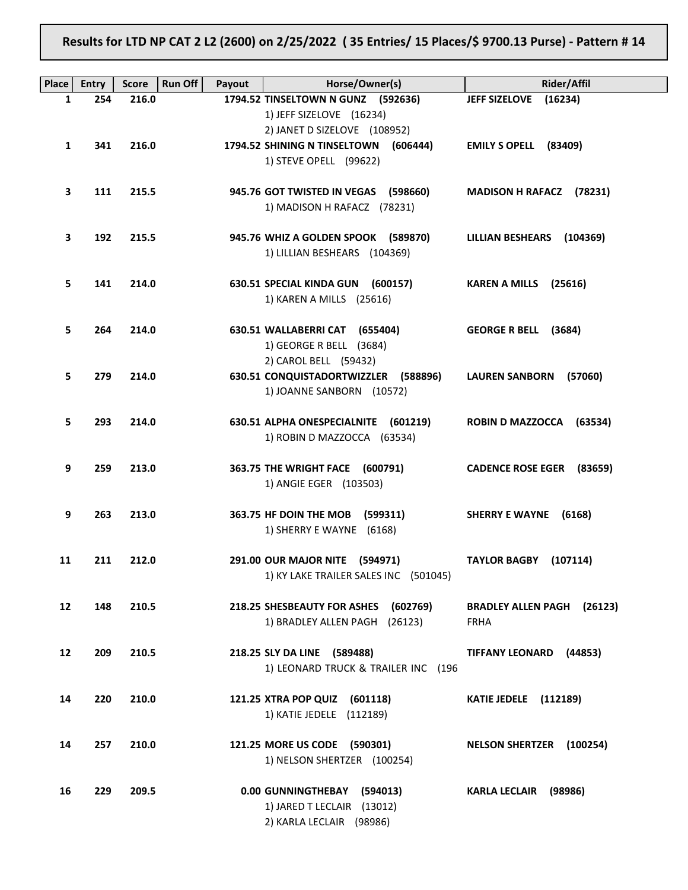# Results for LTD NP CAT 2 L2 (2600) on 2/25/2022 ( 35 Entries/ 15 Places/\$ 9700.13 Purse) - Pattern # 14

| Place | <b>Entry</b> | <b>Score</b> | <b>Run Off</b><br>Payout | Horse/Owner(s)                                                  | Rider/Affil                          |
|-------|--------------|--------------|--------------------------|-----------------------------------------------------------------|--------------------------------------|
| 1     | 254          | 216.0        |                          | 1794.52 TINSELTOWN N GUNZ (592636)                              | <b>JEFF SIZELOVE</b><br>(16234)      |
|       |              |              |                          | 1) JEFF SIZELOVE (16234)                                        |                                      |
|       |              |              |                          | 2) JANET D SIZELOVE (108952)                                    |                                      |
| 1     | 341          | 216.0        |                          | 1794.52 SHINING N TINSELTOWN (606444)<br>1) STEVE OPELL (99622) | EMILY S OPELL (83409)                |
|       |              |              |                          |                                                                 |                                      |
| 3     | 111          | 215.5        |                          | 945.76 GOT TWISTED IN VEGAS (598660)                            | MADISON H RAFACZ (78231)             |
|       |              |              |                          | 1) MADISON H RAFACZ (78231)                                     |                                      |
|       |              |              |                          |                                                                 |                                      |
| 3     | 192          | 215.5        |                          | 945.76 WHIZ A GOLDEN SPOOK (589870)                             | LILLIAN BESHEARS (104369)            |
|       |              |              |                          | 1) LILLIAN BESHEARS (104369)                                    |                                      |
| 5.    | 141          | 214.0        |                          | 630.51 SPECIAL KINDA GUN (600157)                               | KAREN A MILLS (25616)                |
|       |              |              |                          | 1) KAREN A MILLS (25616)                                        |                                      |
|       |              |              |                          |                                                                 |                                      |
| 5.    | 264          | 214.0        |                          | 630.51 WALLABERRI CAT (655404)                                  | <b>GEORGE R BELL</b><br>(3684)       |
|       |              |              |                          | 1) GEORGE R BELL (3684)                                         |                                      |
| 5.    | 279          | 214.0        |                          | 2) CAROL BELL (59432)<br>630.51 CONQUISTADORTWIZZLER (588896)   | LAUREN SANBORN (57060)               |
|       |              |              |                          | 1) JOANNE SANBORN (10572)                                       |                                      |
|       |              |              |                          |                                                                 |                                      |
| 5.    | 293          | 214.0        |                          | 630.51 ALPHA ONESPECIALNITE (601219)                            | ROBIN D MAZZOCCA (63534)             |
|       |              |              |                          | 1) ROBIN D MAZZOCCA (63534)                                     |                                      |
| 9     | 259          | 213.0        |                          | 363.75 THE WRIGHT FACE (600791)                                 | CADENCE ROSE EGER (83659)            |
|       |              |              |                          | 1) ANGIE EGER (103503)                                          |                                      |
|       |              |              |                          |                                                                 |                                      |
| 9     | 263          | 213.0        |                          | 363.75 HF DOIN THE MOB (599311)                                 | SHERRY E WAYNE (6168)                |
|       |              |              |                          | 1) SHERRY E WAYNE (6168)                                        |                                      |
| 11    | 211          | 212.0        |                          | 291.00 OUR MAJOR NITE (594971)                                  | <b>TAYLOR BAGBY (107114)</b>         |
|       |              |              |                          | 1) KY LAKE TRAILER SALES INC (501045)                           |                                      |
|       |              |              |                          |                                                                 |                                      |
| 12    | 148          | 210.5        |                          | 218.25 SHESBEAUTY FOR ASHES<br>(602769)                         | <b>BRADLEY ALLEN PAGH</b><br>(26123) |
|       |              |              |                          | 1) BRADLEY ALLEN PAGH (26123)                                   | <b>FRHA</b>                          |
| 12    | 209          | 210.5        |                          | 218.25 SLY DA LINE (589488)                                     | TIFFANY LEONARD (44853)              |
|       |              |              |                          | 1) LEONARD TRUCK & TRAILER INC (196                             |                                      |
|       |              |              |                          |                                                                 |                                      |
| 14    | 220          | 210.0        |                          | 121.25 XTRA POP QUIZ<br>(601118)                                | KATIE JEDELE (112189)                |
|       |              |              |                          | 1) KATIE JEDELE (112189)                                        |                                      |
| 14    | 257          | 210.0        |                          | 121.25 MORE US CODE (590301)                                    | <b>NELSON SHERTZER (100254)</b>      |
|       |              |              |                          | 1) NELSON SHERTZER (100254)                                     |                                      |
|       |              |              |                          |                                                                 |                                      |
| 16    | 229          | 209.5        |                          | 0.00 GUNNINGTHEBAY (594013)                                     | KARLA LECLAIR (98986)                |
|       |              |              |                          | 1) JARED T LECLAIR (13012)                                      |                                      |
|       |              |              |                          | 2) KARLA LECLAIR (98986)                                        |                                      |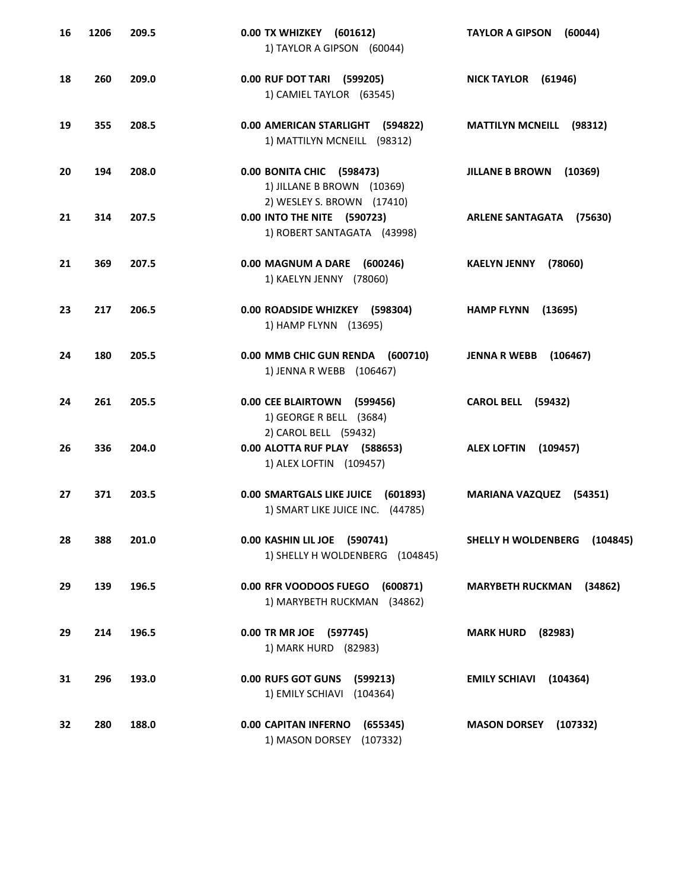| 16 | 1206 | 209.5 | 0.00 TX WHIZKEY (601612)<br>1) TAYLOR A GIPSON (60044)                                   | (60044)<br><b>TAYLOR A GIPSON</b>  |
|----|------|-------|------------------------------------------------------------------------------------------|------------------------------------|
| 18 | 260  | 209.0 | 0.00 RUF DOT TARI (599205)<br>1) CAMIEL TAYLOR (63545)                                   | NICK TAYLOR (61946)                |
| 19 | 355  | 208.5 | 0.00 AMERICAN STARLIGHT (594822)<br>1) MATTILYN MCNEILL (98312)                          | <b>MATTILYN MCNEILL (98312)</b>    |
| 20 | 194  | 208.0 | 0.00 BONITA CHIC (598473)<br>1) JILLANE B BROWN (10369)                                  | <b>JILLANE B BROWN</b><br>(10369)  |
| 21 | 314  | 207.5 | 2) WESLEY S. BROWN (17410)<br>0.00 INTO THE NITE (590723)<br>1) ROBERT SANTAGATA (43998) | ARLENE SANTAGATA (75630)           |
| 21 | 369  | 207.5 | 0.00 MAGNUM A DARE (600246)<br>1) KAELYN JENNY (78060)                                   | (78060)<br><b>KAELYN JENNY</b>     |
| 23 | 217  | 206.5 | 0.00 ROADSIDE WHIZKEY (598304)<br>1) HAMP FLYNN (13695)                                  | <b>HAMP FLYNN</b><br>(13695)       |
| 24 | 180  | 205.5 | 0.00 MMB CHIC GUN RENDA (600710)<br>1) JENNA R WEBB (106467)                             | <b>JENNA R WEBB</b><br>(106467)    |
| 24 | 261  | 205.5 | 0.00 CEE BLAIRTOWN (599456)<br>1) GEORGE R BELL (3684)                                   | <b>CAROL BELL (59432)</b>          |
| 26 | 336  | 204.0 | 2) CAROL BELL (59432)<br>0.00 ALOTTA RUF PLAY (588653)<br>1) ALEX LOFTIN (109457)        | <b>ALEX LOFTIN</b><br>(109457)     |
| 27 | 371  | 203.5 | 0.00 SMARTGALS LIKE JUICE (601893)<br>1) SMART LIKE JUICE INC. (44785)                   | <b>MARIANA VAZQUEZ (54351)</b>     |
| 28 | 388  | 201.0 | 0.00 KASHIN LIL JOE (590741)<br>1) SHELLY H WOLDENBERG (104845)                          | SHELLY H WOLDENBERG<br>(104845)    |
| 29 | 139  | 196.5 | 0.00 RFR VOODOOS FUEGO<br>(600871)<br>1) MARYBETH RUCKMAN (34862)                        | <b>MARYBETH RUCKMAN</b><br>(34862) |
| 29 | 214  | 196.5 | 0.00 TR MR JOE (597745)<br>1) MARK HURD (82983)                                          | <b>MARK HURD</b><br>(82983)        |
| 31 | 296  | 193.0 | 0.00 RUFS GOT GUNS<br>(599213)<br>1) EMILY SCHIAVI (104364)                              | <b>EMILY SCHIAVI</b><br>(104364)   |
| 32 | 280  | 188.0 | 0.00 CAPITAN INFERNO<br>(655345)<br>1) MASON DORSEY<br>(107332)                          | <b>MASON DORSEY</b><br>(107332)    |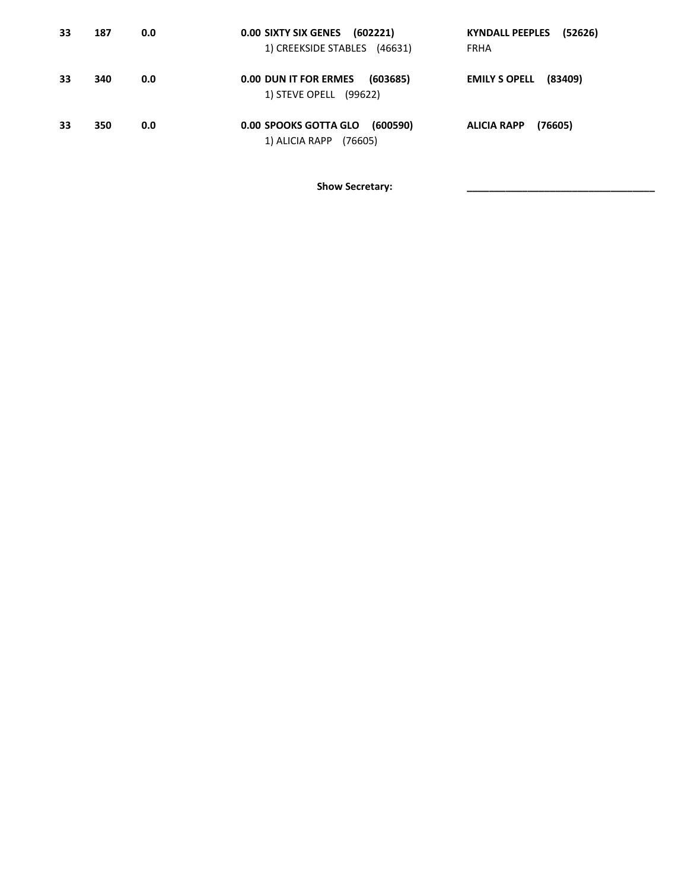| 33 | 187 | 0.0 | 0.00 SIXTY SIX GENES (602221)<br>1) CREEKSIDE STABLES (46631)  | <b>KYNDALL PEEPLES</b><br>(52626)<br><b>FRHA</b> |
|----|-----|-----|----------------------------------------------------------------|--------------------------------------------------|
| 33 | 340 | 0.0 | 0.00 DUN IT FOR ERMES<br>(603685)<br>1) STEVE OPELL (99622)    | <b>EMILY S OPELL</b><br>(83409)                  |
| 33 | 350 | 0.0 | 0.00 SPOOKS GOTTA GLO<br>(600590)<br>1) ALICIA RAPP<br>(76605) | (76605)<br><b>ALICIA RAPP</b>                    |

Show Secretary: